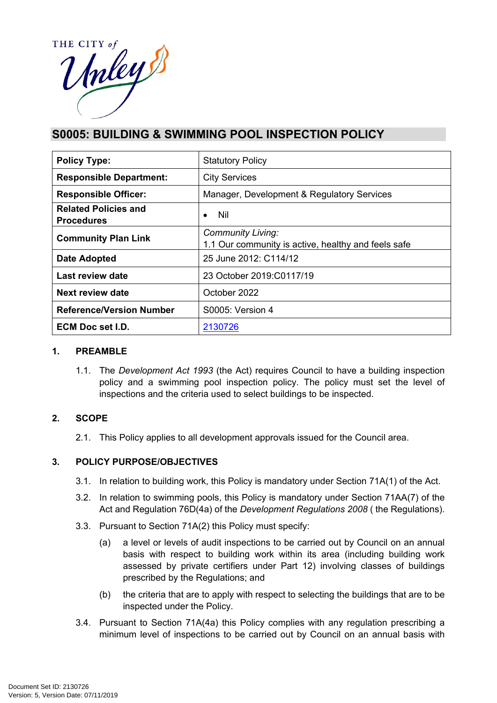

# **S0005: BUILDING & SWIMMING POOL INSPECTION POLICY**

| <b>Policy Type:</b>                              | <b>Statutory Policy</b>                                                         |  |
|--------------------------------------------------|---------------------------------------------------------------------------------|--|
| <b>Responsible Department:</b>                   | <b>City Services</b>                                                            |  |
| <b>Responsible Officer:</b>                      | Manager, Development & Regulatory Services                                      |  |
| <b>Related Policies and</b><br><b>Procedures</b> | <b>Nil</b><br>$\bullet$                                                         |  |
| <b>Community Plan Link</b>                       | <b>Community Living:</b><br>1.1 Our community is active, healthy and feels safe |  |
| <b>Date Adopted</b>                              | 25 June 2012: C114/12                                                           |  |
| Last review date                                 | 23 October 2019: C0117/19                                                       |  |
| Next review date                                 | October 2022                                                                    |  |
| <b>Reference/Version Number</b>                  | S0005: Version 4                                                                |  |
| ECM Doc set I.D.                                 | 2130726                                                                         |  |

#### **1. PREAMBLE**

1.1. The *Development Act 1993* (the Act) requires Council to have a building inspection policy and a swimming pool inspection policy. The policy must set the level of inspections and the criteria used to select buildings to be inspected.

## **2. SCOPE**

2.1. This Policy applies to all development approvals issued for the Council area.

## **3. POLICY PURPOSE/OBJECTIVES**

- 3.1. In relation to building work, this Policy is mandatory under Section 71A(1) of the Act.
- 3.2. In relation to swimming pools, this Policy is mandatory under Section 71AA(7) of the Act and Regulation 76D(4a) of the *Development Regulations 2008* ( the Regulations).
- 3.3. Pursuant to Section 71A(2) this Policy must specify:
	- (a) a level or levels of audit inspections to be carried out by Council on an annual basis with respect to building work within its area (including building work assessed by private certifiers under Part 12) involving classes of buildings prescribed by the Regulations; and
	- (b) the criteria that are to apply with respect to selecting the buildings that are to be inspected under the Policy.
- 3.4. Pursuant to Section 71A(4a) this Policy complies with any regulation prescribing a minimum level of inspections to be carried out by Council on an annual basis with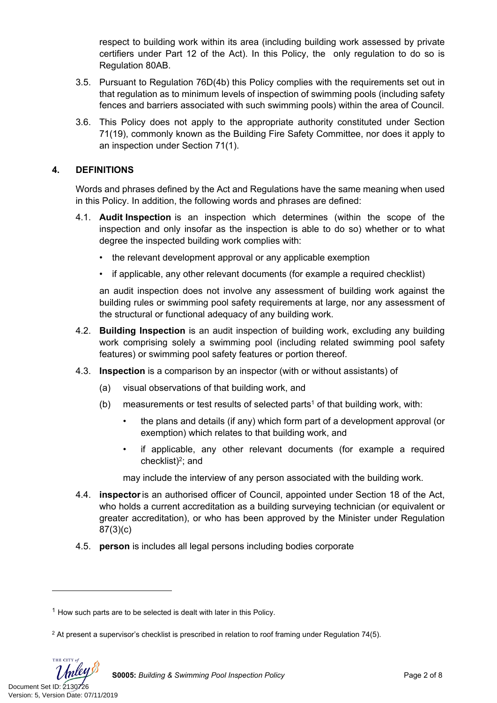respect to building work within its area (including building work assessed by private certifiers under Part 12 of the Act). In this Policy, the only regulation to do so is Regulation 80AB.

- 3.5. Pursuant to Regulation 76D(4b) this Policy complies with the requirements set out in that regulation as to minimum levels of inspection of swimming pools (including safety fences and barriers associated with such swimming pools) within the area of Council.
- 3.6. This Policy does not apply to the appropriate authority constituted under Section 71(19), commonly known as the Building Fire Safety Committee, nor does it apply to an inspection under Section 71(1).

# **4. DEFINITIONS**

Words and phrases defined by the Act and Regulations have the same meaning when used in this Policy. In addition, the following words and phrases are defined:

- 4.1. **Audit Inspection** is an inspection which determines (within the scope of the inspection and only insofar as the inspection is able to do so) whether or to what degree the inspected building work complies with:
	- the relevant development approval or any applicable exemption
	- if applicable, any other relevant documents (for example a required checklist)

an audit inspection does not involve any assessment of building work against the building rules or swimming pool safety requirements at large, nor any assessment of the structural or functional adequacy of any building work.

- 4.2. **Building Inspection** is an audit inspection of building work, excluding any building work comprising solely a swimming pool (including related swimming pool safety features) or swimming pool safety features or portion thereof.
- 4.3. **Inspection** is a comparison by an inspector (with or without assistants) of
	- (a) visual observations of that building work, and
	- (b) measurements or test results of selected parts<sup>1</sup> of that building work, with:
		- the plans and details (if any) which form part of a development approval (or exemption) which relates to that building work, and
		- if applicable, any other relevant documents (for example a required checklist)<sup>2</sup>; and

may include the interview of any person associated with the building work.

- 4.4. **inspector**is an authorised officer of Council, appointed under Section 18 of the Act, who holds a current accreditation as a building surveying technician (or equivalent or greater accreditation), or who has been approved by the Minister under Regulation 87(3)(c)
- 4.5. **person** is includes all legal persons including bodies corporate

Document Set ID: 2130726<br>Version: 5, Version Date: 07/11/2019

 $1$  How such parts are to be selected is dealt with later in this Policy.

<sup>2</sup> At present a supervisor's checklist is prescribed in relation to roof framing under Regulation 74(5).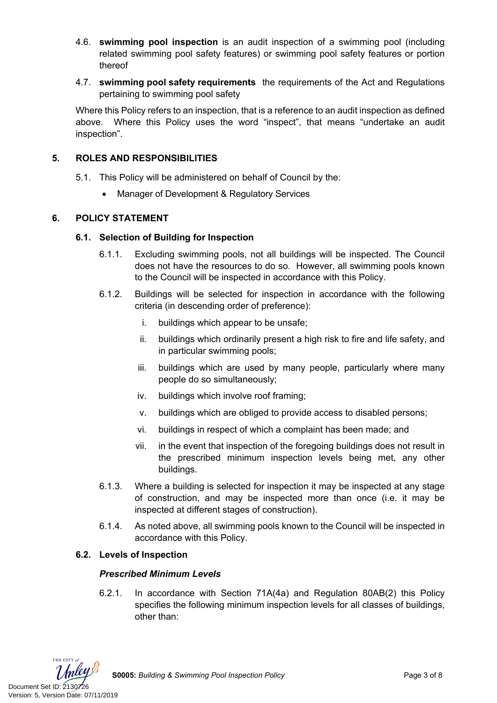- 4.6. **swimming pool inspection** is an audit inspection of a swimming pool (including related swimming pool safety features) or swimming pool safety features or portion thereof
- 4.7. **swimming pool safety requirements** the requirements of the Act and Regulations pertaining to swimming pool safety

Where this Policy refers to an inspection, that is a reference to an audit inspection as defined above. Where this Policy uses the word "inspect", that means "undertake an audit inspection".

# **5. ROLES AND RESPONSIBILITIES**

- 5.1. This Policy will be administered on behalf of Council by the:
	- Manager of Development & Regulatory Services

# **6. POLICY STATEMENT**

## **6.1. Selection of Building for Inspection**

- 6.1.1. Excluding swimming pools, not all buildings will be inspected. The Council does not have the resources to do so. However, all swimming pools known to the Council will be inspected in accordance with this Policy.
- 6.1.2. Buildings will be selected for inspection in accordance with the following criteria (in descending order of preference):
	- i. buildings which appear to be unsafe;
	- ii. buildings which ordinarily present a high risk to fire and life safety, and in particular swimming pools;
	- iii. buildings which are used by many people, particularly where many people do so simultaneously;
	- iv. buildings which involve roof framing;
	- v. buildings which are obliged to provide access to disabled persons;
	- vi. buildings in respect of which a complaint has been made; and
	- vii. in the event that inspection of the foregoing buildings does not result in the prescribed minimum inspection levels being met, any other buildings.
- 6.1.3. Where a building is selected for inspection it may be inspected at any stage of construction, and may be inspected more than once (i.e. it may be inspected at different stages of construction).
- 6.1.4. As noted above, all swimming pools known to the Council will be inspected in accordance with this Policy.

## **6.2. Levels of Inspection**

## *Prescribed Minimum Levels*

6.2.1. In accordance with Section 71A(4a) and Regulation 80AB(2) this Policy specifies the following minimum inspection levels for all classes of buildings, other than:

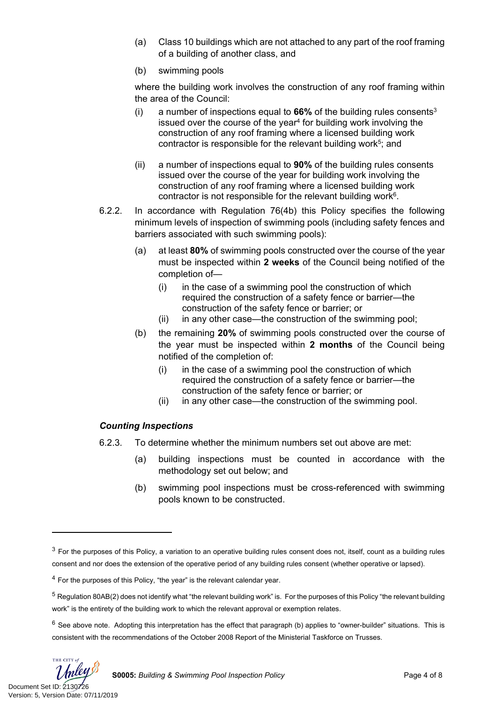- (a) Class 10 buildings which are not attached to any part of the roof framing of a building of another class, and
- (b) swimming pools

where the building work involves the construction of any roof framing within the area of the Council:

- (i) a number of inspections equal to  $66\%$  of the building rules consents<sup>3</sup> issued over the course of the year<sup>4</sup> for building work involving the construction of any roof framing where a licensed building work contractor is responsible for the relevant building work<sup>5</sup>; and
- (ii) a number of inspections equal to **90%** of the building rules consents issued over the course of the year for building work involving the construction of any roof framing where a licensed building work contractor is not responsible for the relevant building work $6$ .
- 6.2.2. In accordance with Regulation 76(4b) this Policy specifies the following minimum levels of inspection of swimming pools (including safety fences and barriers associated with such swimming pools):
	- (a) at least **80%** of swimming pools constructed over the course of the year must be inspected within **2 weeks** of the Council being notified of the completion of—
		- (i) in the case of a swimming pool the construction of which required the construction of a safety fence or barrier—the construction of the safety fence or barrier; or
		- (ii) in any other case—the construction of the swimming pool;
	- (b) the remaining **20%** of swimming pools constructed over the course of the year must be inspected within **2 months** of the Council being notified of the completion of:
		- (i) in the case of a swimming pool the construction of which required the construction of a safety fence or barrier—the construction of the safety fence or barrier; or
		- (ii) in any other case—the construction of the swimming pool.

## *Counting Inspections*

- 6.2.3. To determine whether the minimum numbers set out above are met:
	- (a) building inspections must be counted in accordance with the methodology set out below; and
	- (b) swimming pool inspections must be cross-referenced with swimming pools known to be constructed.

THE CITY of

 $3$  For the purposes of this Policy, a variation to an operative building rules consent does not, itself, count as a building rules consent and nor does the extension of the operative period of any building rules consent (whether operative or lapsed).

<sup>&</sup>lt;sup>4</sup> For the purposes of this Policy, "the year" is the relevant calendar year.

 $5$  Regulation 80AB(2) does not identify what "the relevant building work" is. For the purposes of this Policy "the relevant building work" is the entirety of the building work to which the relevant approval or exemption relates.

 $6$  See above note. Adopting this interpretation has the effect that paragraph (b) applies to "owner-builder" situations. This is consistent with the recommendations of the October 2008 Report of the Ministerial Taskforce on Trusses.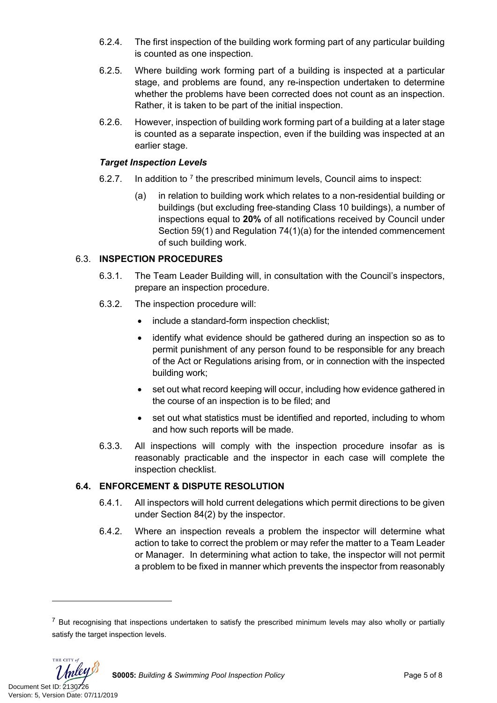- 6.2.4. The first inspection of the building work forming part of any particular building is counted as one inspection.
- 6.2.5. Where building work forming part of a building is inspected at a particular stage, and problems are found, any re-inspection undertaken to determine whether the problems have been corrected does not count as an inspection. Rather, it is taken to be part of the initial inspection.
- 6.2.6. However, inspection of building work forming part of a building at a later stage is counted as a separate inspection, even if the building was inspected at an earlier stage.

#### *Target Inspection Levels*

- 6.2.7. In addition to  $<sup>7</sup>$  the prescribed minimum levels, Council aims to inspect:</sup>
	- (a) in relation to building work which relates to a non-residential building or buildings (but excluding free-standing Class 10 buildings), a number of inspections equal to **20%** of all notifications received by Council under Section 59(1) and Regulation 74(1)(a) for the intended commencement of such building work.

## 6.3. **INSPECTION PROCEDURES**

- 6.3.1. The Team Leader Building will, in consultation with the Council's inspectors, prepare an inspection procedure.
- 6.3.2. The inspection procedure will:
	- include a standard-form inspection checklist;
	- identify what evidence should be gathered during an inspection so as to permit punishment of any person found to be responsible for any breach of the Act or Regulations arising from, or in connection with the inspected building work;
	- set out what record keeping will occur, including how evidence gathered in the course of an inspection is to be filed; and
	- set out what statistics must be identified and reported, including to whom and how such reports will be made.
- 6.3.3. All inspections will comply with the inspection procedure insofar as is reasonably practicable and the inspector in each case will complete the inspection checklist.

## **6.4. ENFORCEMENT & DISPUTE RESOLUTION**

- 6.4.1. All inspectors will hold current delegations which permit directions to be given under Section 84(2) by the inspector.
- 6.4.2. Where an inspection reveals a problem the inspector will determine what action to take to correct the problem or may refer the matter to a Team Leader or Manager. In determining what action to take, the inspector will not permit a problem to be fixed in manner which prevents the inspector from reasonably

 $<sup>7</sup>$  But recognising that inspections undertaken to satisfy the prescribed minimum levels may also wholly or partially</sup> satisfy the target inspection levels.

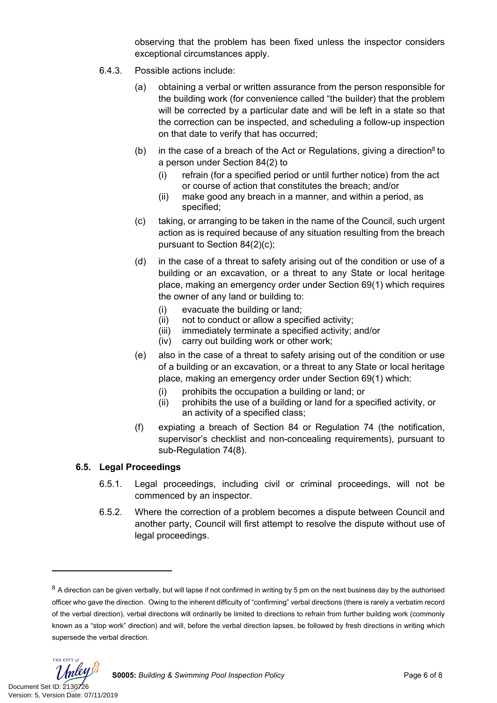observing that the problem has been fixed unless the inspector considers exceptional circumstances apply.

- 6.4.3. Possible actions include:
	- (a) obtaining a verbal or written assurance from the person responsible for the building work (for convenience called "the builder) that the problem will be corrected by a particular date and will be left in a state so that the correction can be inspected, and scheduling a follow-up inspection on that date to verify that has occurred;
	- (b) in the case of a breach of the Act or Regulations, giving a direction<sup>8</sup> to a person under Section 84(2) to
		- (i) refrain (for a specified period or until further notice) from the act or course of action that constitutes the breach; and/or
		- (ii) make good any breach in a manner, and within a period, as specified;
	- (c) taking, or arranging to be taken in the name of the Council, such urgent action as is required because of any situation resulting from the breach pursuant to Section 84(2)(c);
	- (d) in the case of a threat to safety arising out of the condition or use of a building or an excavation, or a threat to any State or local heritage place, making an emergency order under Section 69(1) which requires the owner of any land or building to:
		- (i) evacuate the building or land;
		- (ii) not to conduct or allow a specified activity;
		- (iii) immediately terminate a specified activity; and/or
		- (iv) carry out building work or other work;
	- (e) also in the case of a threat to safety arising out of the condition or use of a building or an excavation, or a threat to any State or local heritage place, making an emergency order under Section 69(1) which:
		- (i) prohibits the occupation a building or land; or
		- (ii) prohibits the use of a building or land for a specified activity, or an activity of a specified class;
	- (f) expiating a breach of Section 84 or Regulation 74 (the notification, supervisor's checklist and non-concealing requirements), pursuant to sub-Regulation 74(8).

## **6.5. Legal Proceedings**

- 6.5.1. Legal proceedings, including civil or criminal proceedings, will not be commenced by an inspector.
- 6.5.2. Where the correction of a problem becomes a dispute between Council and another party, Council will first attempt to resolve the dispute without use of legal proceedings.

 $8$  A direction can be given verbally, but will lapse if not confirmed in writing by 5 pm on the next business day by the authorised officer who gave the direction. Owing to the inherent difficulty of "confirming" verbal directions (there is rarely a verbatim record of the verbal direction), verbal directions will ordinarily be limited to directions to refrain from further building work (commonly known as a "stop work" direction) and will, before the verbal direction lapses, be followed by fresh directions in writing which supersede the verbal direction.

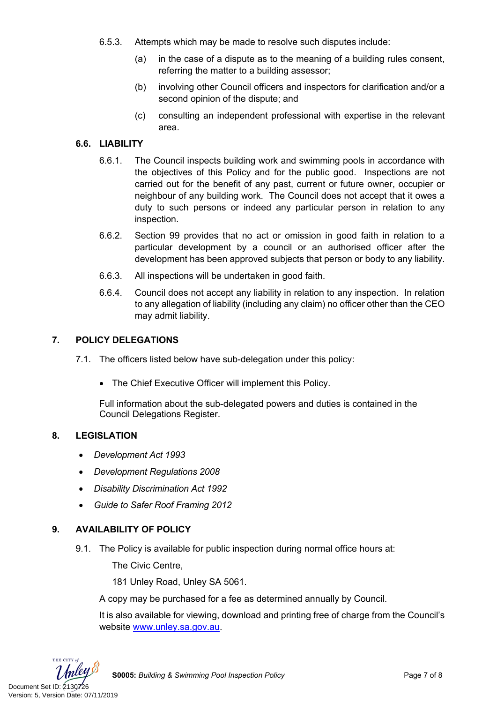- 6.5.3. Attempts which may be made to resolve such disputes include:
	- (a) in the case of a dispute as to the meaning of a building rules consent, referring the matter to a building assessor;
	- (b) involving other Council officers and inspectors for clarification and/or a second opinion of the dispute; and
	- (c) consulting an independent professional with expertise in the relevant area.

# **6.6. LIABILITY**

- 6.6.1. The Council inspects building work and swimming pools in accordance with the objectives of this Policy and for the public good. Inspections are not carried out for the benefit of any past, current or future owner, occupier or neighbour of any building work. The Council does not accept that it owes a duty to such persons or indeed any particular person in relation to any inspection.
- 6.6.2. Section 99 provides that no act or omission in good faith in relation to a particular development by a council or an authorised officer after the development has been approved subjects that person or body to any liability.
- 6.6.3. All inspections will be undertaken in good faith.
- 6.6.4. Council does not accept any liability in relation to any inspection. In relation to any allegation of liability (including any claim) no officer other than the CEO may admit liability.

## **7. POLICY DELEGATIONS**

- 7.1. The officers listed below have sub-delegation under this policy:
	- The Chief Executive Officer will implement this Policy.

Full information about the sub-delegated powers and duties is contained in the Council Delegations Register.

#### **8. LEGISLATION**

- *Development Act 1993*
- *Development Regulations 2008*
- *Disability Discrimination Act 1992*
- *Guide to Safer Roof Framing 2012*

## **9. AVAILABILITY OF POLICY**

9.1. The Policy is available for public inspection during normal office hours at:

The Civic Centre,

181 Unley Road, Unley SA 5061.

A copy may be purchased for a fee as determined annually by Council.

It is also available for viewing, download and printing free of charge from the Council's website [www.unley.sa.gov.au](file:///C:/Users/dvonwald/AppData/Local/Microsoft/Windows/INetCache/Content.Outlook/3K0LT0PM/www.unley.sa.gov.au).